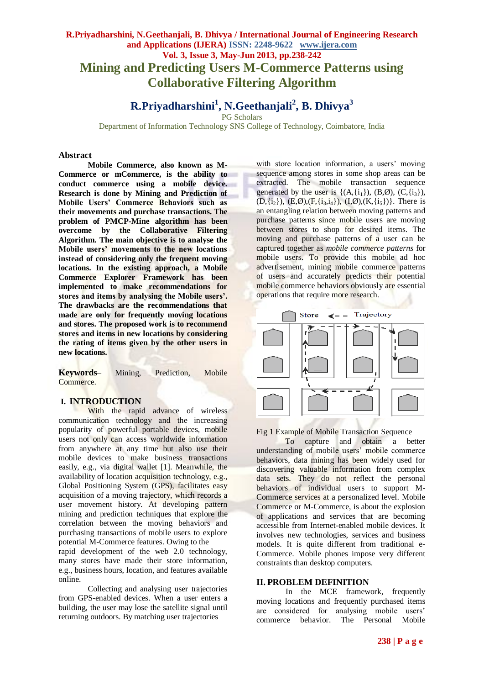## **R.Priyadharshini, N.Geethanjali, B. Dhivya / International Journal of Engineering Research and Applications (IJERA) ISSN: 2248-9622 www.ijera.com Vol. 3, Issue 3, May-Jun 2013, pp.238-242 Mining and Predicting Users M-Commerce Patterns using Collaborative Filtering Algorithm**

# **R.Priyadharshini<sup>1</sup> , N.Geethanjali<sup>2</sup> , B. Dhivya<sup>3</sup>**

PG Scholars

Department of Information Technology SNS College of Technology, Coimbatore, India

#### **Abstract**

**Mobile Commerce, also known as M-Commerce or mCommerce, is the ability to conduct commerce using a mobile device. Research is done by Mining and Prediction of Mobile Users' Commerce Behaviors such as their movements and purchase transactions. The problem of PMCP-Mine algorithm has been overcome by the Collaborative Filtering Algorithm. The main objective is to analyse the Mobile users' movements to the new locations instead of considering only the frequent moving locations. In the existing approach, a Mobile Commerce Explorer Framework has been implemented to make recommendations for stores and items by analysing the Mobile users'. The drawbacks are the recommendations that made are only for frequently moving locations and stores. The proposed work is to recommend stores and items in new locations by considering the rating of items given by the other users in new locations.**

**Keywords**– Mining, Prediction, Mobile Commerce.

#### **I. INTRODUCTION**

With the rapid advance of wireless communication technology and the increasing popularity of powerful portable devices, mobile users not only can access worldwide information from anywhere at any time but also use their mobile devices to make business transactions easily, e.g., via digital wallet [1]. Meanwhile, the availability of location acquisition technology, e.g., Global Positioning System (GPS), facilitates easy acquisition of a moving trajectory, which records a user movement history. At developing pattern mining and prediction techniques that explore the correlation between the moving behaviors and purchasing transactions of mobile users to explore potential M-Commerce features. Owing to the

rapid development of the web 2.0 technology, many stores have made their store information, e.g., business hours, location, and features available online.

Collecting and analysing user trajectories from GPS-enabled devices. When a user enters a building, the user may lose the satellite signal until returning outdoors. By matching user trajectories

with store location information, a users' moving sequence among stores in some shop areas can be extracted. The mobile transaction sequence generated by the user is  $\{(A,\{i_1\}), (B,\emptyset), (C,\{i_3\})\}$ .  $(D, \{i_2\})$ ,  $(E, \emptyset)$ ,  $(F, \{i_3, i_4\})$ ,  $(I, \emptyset)$ ,  $(K, \{i_5\})$ . There is an entangling relation between moving patterns and purchase patterns since mobile users are moving between stores to shop for desired items. The moving and purchase patterns of a user can be captured together as *mobile commerce patterns* for mobile users. To provide this mobile ad hoc advertisement, mining mobile commerce patterns of users and accurately predicts their potential mobile commerce behaviors obviously are essential operations that require more research.



Fig 1 Example of Mobile Transaction Sequence

To capture and obtain a better understanding of mobile users' mobile commerce behaviors, data mining has been widely used for discovering valuable information from complex data sets. They do not reflect the personal behaviors of individual users to support M-Commerce services at a personalized level. Mobile Commerce or M-Commerce, is about the explosion of applications and services that are becoming accessible from Internet-enabled mobile devices. It involves new technologies, services and business models. It is quite different from traditional e-Commerce. Mobile phones impose very different constraints than desktop computers.

#### **II. PROBLEM DEFINITION**

In the MCE framework, frequently moving locations and frequently purchased items are considered for analysing mobile users' commerce behavior. The Personal Mobile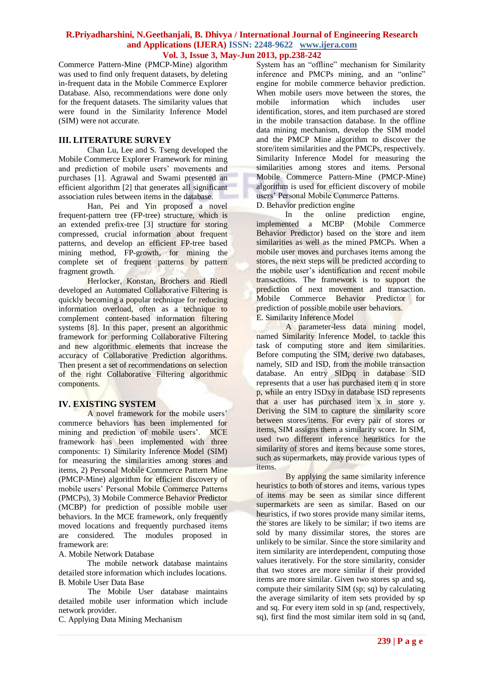Commerce Pattern-Mine (PMCP-Mine) algorithm was used to find only frequent datasets, by deleting in-frequent data in the Mobile Commerce Explorer Database. Also, recommendations were done only for the frequent datasets. The similarity values that were found in the Similarity Inference Model (SIM) were not accurate.

## **III. LITERATURE SURVEY**

Chan Lu, Lee and S. Tseng developed the Mobile Commerce Explorer Framework for mining and prediction of mobile users' movements and purchases [1]. Agrawal and Swami presented an efficient algorithm [2] that generates all significant association rules between items in the database.

Han, Pei and Yin proposed a novel frequent-pattern tree (FP-tree) structure, which is an extended prefix-tree [3] structure for storing compressed, crucial information about frequent patterns, and develop an efficient FP-tree based mining method, FP-growth, for mining the complete set of frequent patterns by pattern fragment growth.

Herlocker, Konstan, Brochers and Riedl developed an Automated Collaborative Filtering is quickly becoming a popular technique for reducing information overload, often as a technique to complement content-based information filtering systems [8]. In this paper, present an algorithmic framework for performing Collaborative Filtering and new algorithmic elements that increase the accuracy of Collaborative Prediction algorithms. Then present a set of recommendations on selection of the right Collaborative Filtering algorithmic components.

#### **IV. EXISTING SYSTEM**

A novel framework for the mobile users' commerce behaviors has been implemented for mining and prediction of mobile users'. MCE framework has been implemented with three components: 1) Similarity Inference Model (SIM) for measuring the similarities among stores and items, 2) Personal Mobile Commerce Pattern Mine (PMCP-Mine) algorithm for efficient discovery of mobile users' Personal Mobile Commerce Patterns (PMCPs), 3) Mobile Commerce Behavior Predictor (MCBP) for prediction of possible mobile user behaviors. In the MCE framework, only frequently moved locations and frequently purchased items are considered. The modules proposed in framework are:

A. Mobile Network Database

The mobile network database maintains detailed store information which includes locations. B. Mobile User Data Base

The Mobile User database maintains detailed mobile user information which include network provider.

C. Applying Data Mining Mechanism

System has an "offline" mechanism for Similarity inference and PMCPs mining, and an "online" engine for mobile commerce behavior prediction. When mobile users move between the stores, the mobile information which includes user mobile information which includes user identification, stores, and item purchased are stored in the mobile transaction database. In the offline data mining mechanism, develop the SIM model and the PMCP Mine algorithm to discover the store/item similarities and the PMCPs, respectively. Similarity Inference Model for measuring the similarities among stores and items. Personal Mobile Commerce Pattern-Mine (PMCP-Mine) algorithm is used for efficient discovery of mobile users' Personal Mobile Commerce Patterns.

D. Behavior prediction engine<br>In the online

In the online prediction engine, implemented a MCBP (Mobile Commerce Behavior Predictor) based on the store and item similarities as well as the mined PMCPs. When a mobile user moves and purchases items among the stores, the next steps will be predicted according to the mobile user's identification and recent mobile transactions. The framework is to support the prediction of next movement and transaction. Mobile Commerce Behavior Predictor for prediction of possible mobile user behaviors.

E. Similarity Inference Model

A parameter-less data mining model, named Similarity Inference Model, to tackle this task of computing store and item similarities. Before computing the SIM, derive two databases, namely, SID and ISD, from the mobile transaction database. An entry SIDpq in database SID represents that a user has purchased item q in store p, while an entry ISDxy in database ISD represents that a user has purchased item x in store y. Deriving the SIM to capture the similarity score between stores/items. For every pair of stores or items, SIM assigns them a similarity score. In SIM, used two different inference heuristics for the similarity of stores and items because some stores, such as supermarkets, may provide various types of items.

By applying the same similarity inference heuristics to both of stores and items, various types of items may be seen as similar since different supermarkets are seen as similar. Based on our heuristics, if two stores provide many similar items. the stores are likely to be similar; if two items are sold by many dissimilar stores, the stores are unlikely to be similar. Since the store similarity and item similarity are interdependent, computing those values iteratively. For the store similarity, consider that two stores are more similar if their provided items are more similar. Given two stores sp and sq, compute their similarity SIM (sp; sq) by calculating the average similarity of item sets provided by sp and sq. For every item sold in sp (and, respectively, sq), first find the most similar item sold in sq (and,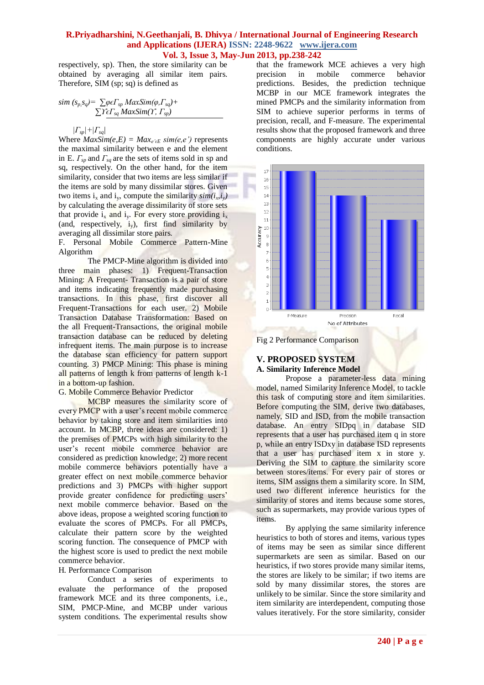respectively, sp). Then, the store similarity can be obtained by averaging all similar item pairs. Therefore, SIM (sp; sq) is defined as

$$
sim (s_p, s_q) = \sum \varphi \in \Gamma_{sp} \, MaxSim(\varphi, \Gamma_{sq}) + \sum \Upsilon \in \Gamma_{sq} \, MaxSim(\Upsilon, \Gamma_{sp})
$$

 *|Гsp|+|Гsq|*

Where  $MaxSim(e, E) = Max_{e' \in E} sim(e, e')$  represents the maximal similarity between e and the element in E. *Гsp* and *Гsq* are the sets of items sold in sp and sq, respectively. On the other hand, for the item similarity, consider that two items are less similar if the items are sold by many dissimilar stores. Given two items  $i_x$  and  $i_y$ , compute the similarity  $\text{sim}(i_x, i_y)$ by calculating the average dissimilarity of store sets that provide  $i_x$  and  $i_y$ . For every store providing  $i_x$ (and, respectively,  $i_y$ ), first find similarity by averaging all dissimilar store pairs.

F. Personal Mobile Commerce Pattern-Mine Algorithm

The PMCP-Mine algorithm is divided into three main phases: 1) Frequent-Transaction Mining: A Frequent- Transaction is a pair of store and items indicating frequently made purchasing transactions. In this phase, first discover all Frequent-Transactions for each user. 2) Mobile Transaction Database Transformation: Based on the all Frequent-Transactions, the original mobile transaction database can be reduced by deleting infrequent items. The main purpose is to increase the database scan efficiency for pattern support counting. 3) PMCP Mining: This phase is mining all patterns of length k from patterns of length k-1 in a bottom-up fashion.

#### G. Mobile Commerce Behavior Predictor

MCBP measures the similarity score of every PMCP with a user's recent mobile commerce behavior by taking store and item similarities into account. In MCBP, three ideas are considered: 1) the premises of PMCPs with high similarity to the user's recent mobile commerce behavior are considered as prediction knowledge; 2) more recent mobile commerce behaviors potentially have a greater effect on next mobile commerce behavior predictions and 3) PMCPs with higher support provide greater confidence for predicting users' next mobile commerce behavior. Based on the above ideas, propose a weighted scoring function to evaluate the scores of PMCPs. For all PMCPs, calculate their pattern score by the weighted scoring function. The consequence of PMCP with the highest score is used to predict the next mobile commerce behavior.

#### H. Performance Comparison

Conduct a series of experiments to evaluate the performance of the proposed framework MCE and its three components, i.e., SIM, PMCP-Mine, and MCBP under various system conditions. The experimental results show

that the framework MCE achieves a very high<br>precision in mobile commerce behavior precision in mobile commerce behavior predictions. Besides, the prediction technique MCBP in our MCE framework integrates the mined PMCPs and the similarity information from SIM to achieve superior performs in terms of precision, recall, and F-measure. The experimental results show that the proposed framework and three components are highly accurate under various conditions.



Fig 2 Performance Comparison

## **V. PROPOSED SYSTEM A. Similarity Inference Model**

Propose a parameter-less data mining model, named Similarity Inference Model, to tackle this task of computing store and item similarities. Before computing the SIM, derive two databases, namely, SID and ISD, from the mobile transaction database. An entry SIDpq in database SID represents that a user has purchased item q in store p, while an entry ISDxy in database ISD represents that a user has purchased item x in store y. Deriving the SIM to capture the similarity score between stores/items. For every pair of stores or items, SIM assigns them a similarity score. In SIM, used two different inference heuristics for the similarity of stores and items because some stores, such as supermarkets, may provide various types of items.

By applying the same similarity inference heuristics to both of stores and items, various types of items may be seen as similar since different supermarkets are seen as similar. Based on our heuristics, if two stores provide many similar items, the stores are likely to be similar; if two items are sold by many dissimilar stores, the stores are unlikely to be similar. Since the store similarity and item similarity are interdependent, computing those values iteratively. For the store similarity, consider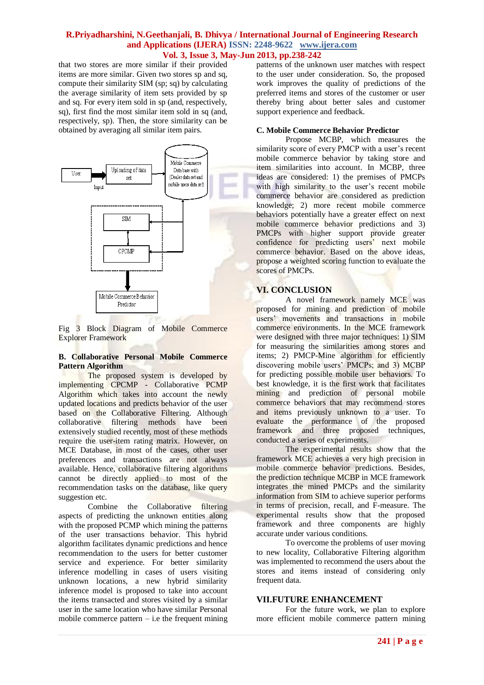that two stores are more similar if their provided items are more similar. Given two stores sp and sq, compute their similarity SIM (sp; sq) by calculating the average similarity of item sets provided by sp and sq. For every item sold in sp (and, respectively, sq), first find the most similar item sold in sq (and, respectively, sp). Then, the store similarity can be obtained by averaging all similar item pairs.



Fig 3 Block Diagram of Mobile Commerce Explorer Framework

#### **B. Collaborative Personal Mobile Commerce Pattern Algorithm**

The proposed system is developed by implementing CPCMP - Collaborative PCMP Algorithm which takes into account the newly updated locations and predicts behavior of the user based on the Collaborative Filtering. Although collaborative filtering methods have been extensively studied recently, most of these methods require the user-item rating matrix. However, on MCE Database, in most of the cases, other user preferences and transactions are not always available. Hence, collaborative filtering algorithms cannot be directly applied to most of the recommendation tasks on the database, like query suggestion etc.

Combine the Collaborative filtering aspects of predicting the unknown entities along with the proposed PCMP which mining the patterns of the user transactions behavior. This hybrid algorithm facilitates dynamic predictions and hence recommendation to the users for better customer service and experience. For better similarity inference modelling in cases of users visiting unknown locations, a new hybrid similarity inference model is proposed to take into account the items transacted and stores visited by a similar user in the same location who have similar Personal mobile commerce pattern  $-$  i.e the frequent mining patterns of the unknown user matches with respect to the user under consideration. So, the proposed work improves the quality of predictions of the preferred items and stores of the customer or user thereby bring about better sales and customer support experience and feedback.

## **C. Mobile Commerce Behavior Predictor**

Propose MCBP, which measures the similarity score of every PMCP with a user's recent mobile commerce behavior by taking store and item similarities into account. In MCBP, three ideas are considered: 1) the premises of PMCPs with high similarity to the user's recent mobile commerce behavior are considered as prediction knowledge; 2) more recent mobile commerce behaviors potentially have a greater effect on next mobile commerce behavior predictions and 3) PMCPs with higher support provide greater confidence for predicting users' next mobile commerce behavior. Based on the above ideas, propose a weighted scoring function to evaluate the scores of PMCPs.

## **VI. CONCLUSION**

A novel framework namely MCE was proposed for mining and prediction of mobile users' movements and transactions in mobile commerce environments. In the MCE framework were designed with three major techniques: 1) SIM for measuring the similarities among stores and items; 2) PMCP-Mine algorithm for efficiently discovering mobile users' PMCPs; and 3) MCBP for predicting possible mobile user behaviors. To best knowledge, it is the first work that facilitates mining and prediction of personal mobile commerce behaviors that may recommend stores and items previously unknown to a user. To evaluate the performance of the proposed framework and three proposed techniques, conducted a series of experiments.

The experimental results show that the framework MCE achieves a very high precision in mobile commerce behavior predictions. Besides, the prediction technique MCBP in MCE framework integrates the mined PMCPs and the similarity information from SIM to achieve superior performs in terms of precision, recall, and F-measure. The experimental results show that the proposed framework and three components are highly accurate under various conditions.

To overcome the problems of user moving to new locality, Collaborative Filtering algorithm was implemented to recommend the users about the stores and items instead of considering only frequent data.

## **VII.FUTURE ENHANCEMENT**

For the future work, we plan to explore more efficient mobile commerce pattern mining